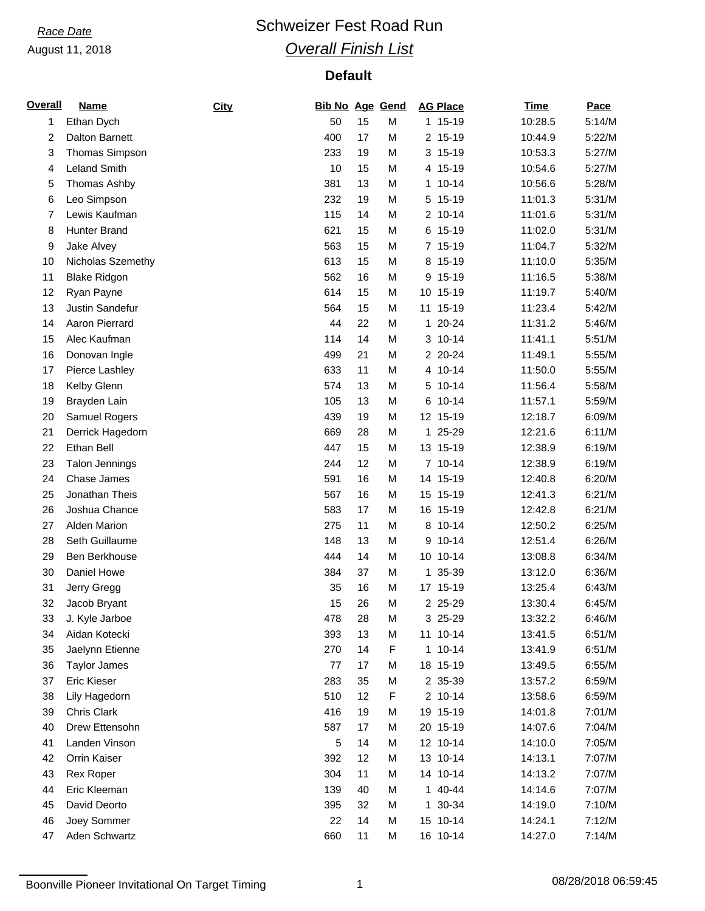## *Race Date* **Conservery Schweizer Fest Road Run** *Overall Finish List*

| <b>Overall</b> | <b>Name</b>         | City | <b>Bib No Age Gend</b> |    |   | <b>AG Place</b>            | <b>Time</b> | Pace   |
|----------------|---------------------|------|------------------------|----|---|----------------------------|-------------|--------|
| 1              | Ethan Dych          |      | 50                     | 15 | M | 1 15-19                    | 10:28.5     | 5:14/M |
| 2              | Dalton Barnett      |      | 400                    | 17 | M | 2 15-19                    | 10:44.9     | 5:22/M |
| 3              | Thomas Simpson      |      | 233                    | 19 | M | 3 15-19                    | 10:53.3     | 5:27/M |
| 4              | Leland Smith        |      | 10                     | 15 | M | 4 15-19                    | 10:54.6     | 5:27/M |
| 5              | Thomas Ashby        |      | 381                    | 13 | M | $1 10 - 14$                | 10:56.6     | 5:28/M |
| 6              | Leo Simpson         |      | 232                    | 19 | M | $15-19$<br>5               | 11:01.3     | 5:31/M |
| 7              | Lewis Kaufman       |      | 115                    | 14 | M | 2 10-14                    | 11:01.6     | 5:31/M |
| 8              | <b>Hunter Brand</b> |      | 621                    | 15 | M | 6 15-19                    | 11:02.0     | 5:31/M |
| 9              | Jake Alvey          |      | 563                    | 15 | M | 7 15-19                    | 11:04.7     | 5:32/M |
| 10             | Nicholas Szemethy   |      | 613                    | 15 | M | 8 15-19                    | 11:10.0     | 5:35/M |
| 11             | <b>Blake Ridgon</b> |      | 562                    | 16 | M | 9 15-19                    | 11:16.5     | 5:38/M |
| 12             | Ryan Payne          |      | 614                    | 15 | M | $15-19$<br>10 <sup>°</sup> | 11:19.7     | 5:40/M |
| 13             | Justin Sandefur     |      | 564                    | 15 | M | 11 15-19                   | 11:23.4     | 5:42/M |
| 14             | Aaron Pierrard      |      | 44                     | 22 | M | 1 20-24                    | 11:31.2     | 5:46/M |
| 15             | Alec Kaufman        |      | 114                    | 14 | M | 3 10-14                    | 11:41.1     | 5:51/M |
| 16             | Donovan Ingle       |      | 499                    | 21 | M | 2 20-24                    | 11:49.1     | 5:55/M |
| 17             | Pierce Lashley      |      | 633                    | 11 | M | 4 10-14                    | 11:50.0     | 5:55/M |
| 18             | Kelby Glenn         |      | 574                    | 13 | M | $10 - 14$<br>5             | 11:56.4     | 5:58/M |
| 19             | Brayden Lain        |      | 105                    | 13 | M | $10 - 14$<br>6             | 11:57.1     | 5:59/M |
| 20             | Samuel Rogers       |      | 439                    | 19 | M | 12 15-19                   | 12:18.7     | 6:09/M |
| 21             | Derrick Hagedorn    |      | 669                    | 28 | M | 1 25-29                    | 12:21.6     | 6:11/M |
| 22             | Ethan Bell          |      | 447                    | 15 | M | 13 15-19                   | 12:38.9     | 6:19/M |
| 23             | Talon Jennings      |      | 244                    | 12 | M | 7 10-14                    | 12:38.9     | 6:19/M |
| 24             | Chase James         |      | 591                    | 16 | M | 15-19<br>14                | 12:40.8     | 6:20/M |
| 25             | Jonathan Theis      |      | 567                    | 16 | M | 15 15-19                   | 12:41.3     | 6:21/M |
| 26             | Joshua Chance       |      | 583                    | 17 | M | 16 15-19                   | 12:42.8     | 6:21/M |
|                | <b>Alden Marion</b> |      |                        |    |   | 8 10-14                    |             | 6:25/M |
| 27             | Seth Guillaume      |      | 275                    | 11 | M | $10 - 14$                  | 12:50.2     |        |
| 28             |                     |      | 148                    | 13 | M | 9                          | 12:51.4     | 6:26/M |
| 29             | Ben Berkhouse       |      | 444                    | 14 | M | 10 10-14                   | 13:08.8     | 6:34/M |
| 30             | Daniel Howe         |      | 384                    | 37 | M | 35-39<br>1.                | 13:12.0     | 6:36/M |
| 31             | Jerry Gregg         |      | 35                     | 16 | M | 17 15-19                   | 13:25.4     | 6:43/M |
| 32             | Jacob Bryant        |      | 15                     | 26 | M | 2 25-29                    | 13:30.4     | 6:45/M |
| 33             | J. Kyle Jarboe      |      | 478                    | 28 | M | 3 25-29                    | 13:32.2     | 6:46/M |
| 34             | Aidan Kotecki       |      | 393                    | 13 | M | 11 10-14                   | 13:41.5     | 6:51/M |
| 35             | Jaelynn Etienne     |      | 270                    | 14 | F | $110-14$                   | 13:41.9     | 6:51/M |
| 36             | <b>Taylor James</b> |      | 77                     | 17 | M | 18 15-19                   | 13:49.5     | 6:55/M |
| 37             | Eric Kieser         |      | 283                    | 35 | M | 2 35-39                    | 13:57.2     | 6:59/M |
| 38             | Lily Hagedorn       |      | 510                    | 12 | F | 2 10-14                    | 13:58.6     | 6:59/M |
| 39             | Chris Clark         |      | 416                    | 19 | M | 19 15-19                   | 14:01.8     | 7:01/M |
| 40             | Drew Ettensohn      |      | 587                    | 17 | M | 20 15-19                   | 14:07.6     | 7:04/M |
| 41             | Landen Vinson       |      | 5                      | 14 | M | 12 10-14                   | 14:10.0     | 7:05/M |
| 42             | Orrin Kaiser        |      | 392                    | 12 | M | 13 10-14                   | 14:13.1     | 7:07/M |
| 43             | Rex Roper           |      | 304                    | 11 | M | 14 10-14                   | 14:13.2     | 7:07/M |
| 44             | Eric Kleeman        |      | 139                    | 40 | M | 1 40-44                    | 14:14.6     | 7:07/M |
| 45             | David Deorto        |      | 395                    | 32 | M | 1 30-34                    | 14:19.0     | 7:10/M |
| 46             | Joey Sommer         |      | 22                     | 14 | M | 15 10-14                   | 14:24.1     | 7:12/M |
| 47             | Aden Schwartz       |      | 660                    | 11 | M | 16 10-14                   | 14:27.0     | 7:14/M |

Boonville Pioneer Invitational On Target Timing 1 08/28/2018 06:59:45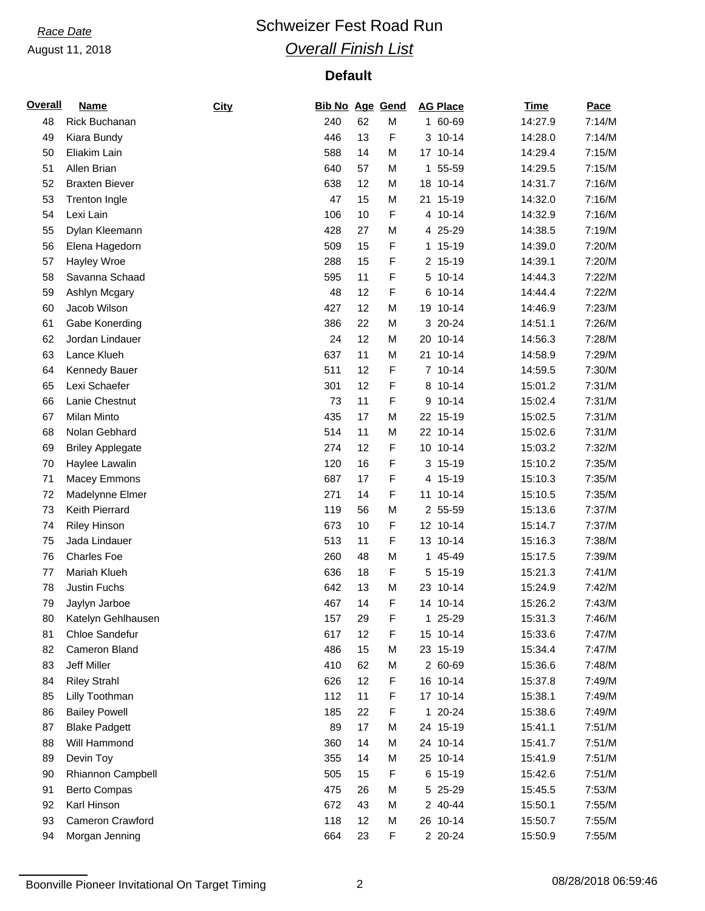## *Race Date* **Conservery Schweizer Fest Road Run** *Overall Finish List*

## **Default**

| <b>Overall</b> | <u>Name</u>             | City | <b>Bib No Age Gend</b> |    |   | <b>AG Place</b> | <b>Time</b> | Pace   |
|----------------|-------------------------|------|------------------------|----|---|-----------------|-------------|--------|
| 48             | Rick Buchanan           |      | 240                    | 62 | M | 1 60-69         | 14:27.9     | 7:14/M |
| 49             | Kiara Bundy             |      | 446                    | 13 | F | 3 10-14         | 14:28.0     | 7:14/M |
| 50             | Eliakim Lain            |      | 588                    | 14 | M | 17 10-14        | 14:29.4     | 7:15/M |
| 51             | Allen Brian             |      | 640                    | 57 | M | 55-59<br>1      | 14:29.5     | 7:15/M |
| 52             | <b>Braxten Biever</b>   |      | 638                    | 12 | M | 18 10-14        | 14:31.7     | 7:16/M |
| 53             | <b>Trenton Ingle</b>    |      | 47                     | 15 | M | 21 15-19        | 14:32.0     | 7:16/M |
| 54             | Lexi Lain               |      | 106                    | 10 | F | 4 10-14         | 14:32.9     | 7:16/M |
| 55             | Dylan Kleemann          |      | 428                    | 27 | M | 4 25-29         | 14:38.5     | 7:19/M |
| 56             | Elena Hagedorn          |      | 509                    | 15 | F | 1 15-19         | 14:39.0     | 7:20/M |
| 57             | Hayley Wroe             |      | 288                    | 15 | F | 2 15-19         | 14:39.1     | 7:20/M |
| 58             | Savanna Schaad          |      | 595                    | 11 | F | 5 10-14         | 14:44.3     | 7:22/M |
| 59             | Ashlyn Mcgary           |      | 48                     | 12 | F | $10 - 14$<br>6  | 14:44.4     | 7:22/M |
| 60             | Jacob Wilson            |      | 427                    | 12 | M | 19 10-14        | 14:46.9     | 7:23/M |
| 61             | Gabe Konerding          |      | 386                    | 22 | M | 3 20-24         | 14:51.1     | 7:26/M |
| 62             | Jordan Lindauer         |      | 24                     | 12 | M | 20 10-14        | 14:56.3     | 7:28/M |
| 63             | Lance Klueh             |      | 637                    | 11 | M | $10 - 14$<br>21 | 14:58.9     | 7:29/M |
| 64             | Kennedy Bauer           |      | 511                    | 12 | F | 7 10-14         | 14:59.5     | 7:30/M |
| 65             | Lexi Schaefer           |      | 301                    | 12 | F | 8 10-14         | 15:01.2     | 7:31/M |
| 66             | Lanie Chestnut          |      | 73                     | 11 | F | $10 - 14$<br>9  | 15:02.4     | 7:31/M |
| 67             | Milan Minto             |      | 435                    | 17 | M | 22 15-19        | 15:02.5     | 7:31/M |
| 68             | Nolan Gebhard           |      | 514                    | 11 | M | 22 10-14        | 15:02.6     | 7:31/M |
| 69             | <b>Briley Applegate</b> |      | 274                    | 12 | F | 10 10-14        | 15:03.2     | 7:32/M |
| 70             | Haylee Lawalin          |      | 120                    | 16 | F | 3 15-19         | 15:10.2     | 7:35/M |
| 71             | <b>Macey Emmons</b>     |      | 687                    | 17 | F | 4 15-19         | 15:10.3     | 7:35/M |
| 72             | Madelynne Elmer         |      | 271                    | 14 | F | 11 10-14        | 15:10.5     | 7:35/M |
| 73             | Keith Pierrard          |      | 119                    | 56 | М | 2 55-59         | 15:13.6     | 7:37/M |
| 74             | <b>Riley Hinson</b>     |      | 673                    | 10 | F | 12 10-14        | 15:14.7     | 7:37/M |
| 75             | Jada Lindauer           |      | 513                    | 11 | F | 13 10-14        | 15:16.3     | 7:38/M |
| 76             | <b>Charles Foe</b>      |      | 260                    | 48 | M | 1 45-49         | 15:17.5     | 7:39/M |
| 77             | Mariah Klueh            |      | 636                    | 18 | F | $15-19$<br>5    | 15:21.3     | 7:41/M |
| 78             | Justin Fuchs            |      | 642                    | 13 | M | 23 10-14        | 15:24.9     | 7:42/M |
| 79             | Jaylyn Jarboe           |      | 467                    | 14 | F | 14 10-14        | 15:26.2     | 7:43/M |
| 80             | Katelyn Gehlhausen      |      | 157                    | 29 | F | 1 25-29         | 15:31.3     | 7:46/M |
| 81             | Chloe Sandefur          |      | 617                    | 12 | F | 15 10-14        | 15:33.6     | 7:47/M |
| 82             | Cameron Bland           |      | 486                    | 15 | M | 23 15-19        | 15:34.4     | 7:47/M |
| 83             | Jeff Miller             |      | 410                    | 62 | M | 2 60-69         | 15:36.6     | 7:48/M |
| 84             | <b>Riley Strahl</b>     |      | 626                    | 12 | F | 16 10-14        | 15:37.8     | 7:49/M |
| 85             | Lilly Toothman          |      | 112                    | 11 | F | 17 10-14        | 15:38.1     | 7:49/M |
| 86             | <b>Bailey Powell</b>    |      | 185                    | 22 | F | 1 20-24         | 15:38.6     | 7:49/M |
| 87             | <b>Blake Padgett</b>    |      | 89                     | 17 | M | 24 15-19        | 15:41.1     | 7:51/M |
| 88             | Will Hammond            |      | 360                    | 14 | M | 24 10-14        | 15:41.7     | 7:51/M |
| 89             | Devin Toy               |      | 355                    | 14 | M | 25 10-14        | 15:41.9     | 7:51/M |
| 90             | Rhiannon Campbell       |      | 505                    | 15 | F | 6 15-19         | 15:42.6     | 7:51/M |
| 91             | <b>Berto Compas</b>     |      | 475                    | 26 | M | 5 25-29         | 15:45.5     | 7:53/M |
| 92             | Karl Hinson             |      | 672                    | 43 | M | 2 40-44         | 15:50.1     | 7:55/M |
| 93             | Cameron Crawford        |      | 118                    | 12 | M | 26 10-14        | 15:50.7     | 7:55/M |
| 94             | Morgan Jenning          |      | 664                    | 23 | F | 2 20-24         | 15:50.9     | 7:55/M |

Boonville Pioneer Invitational On Target Timing 2 2 2 08/28/2018 06:59:46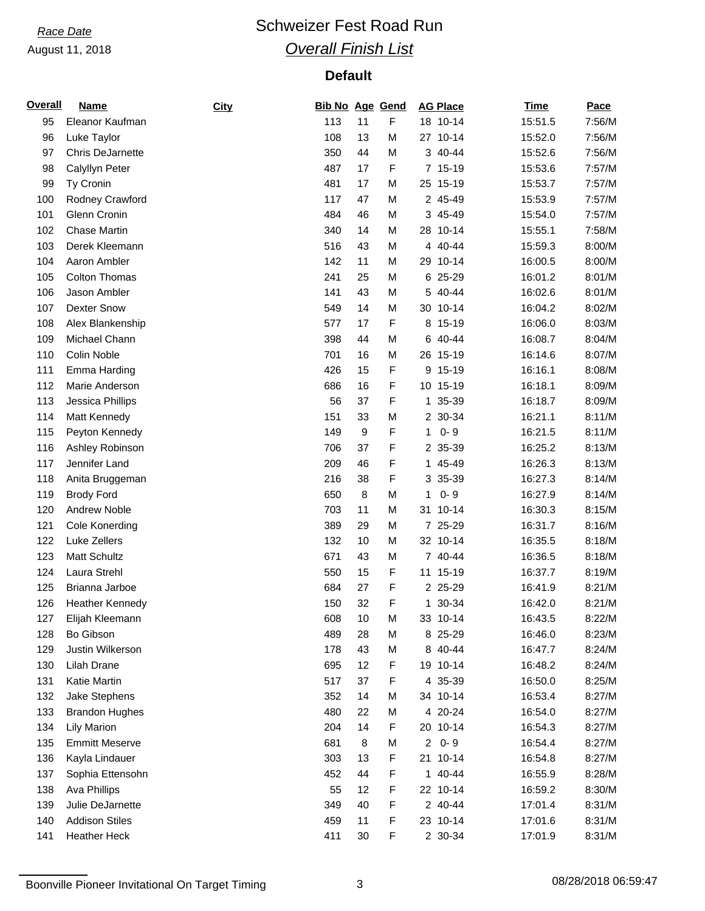## *Race Date* **Conservery Schweizer Fest Road Run** *Overall Finish List*

| <b>Overall</b> | <b>Name</b>             | City | <b>Bib No Age Gend</b> |    |   | <b>AG Place</b>        | <b>Time</b> | Pace   |
|----------------|-------------------------|------|------------------------|----|---|------------------------|-------------|--------|
| 95             | Eleanor Kaufman         |      | 113                    | 11 | F | 18 10-14               | 15:51.5     | 7:56/M |
| 96             | Luke Taylor             |      | 108                    | 13 | M | 27 10-14               | 15:52.0     | 7:56/M |
| 97             | <b>Chris DeJarnette</b> |      | 350                    | 44 | M | 3 40-44                | 15:52.6     | 7:56/M |
| 98             | Calyllyn Peter          |      | 487                    | 17 | F | 7 15-19                | 15:53.6     | 7:57/M |
| 99             | Ty Cronin               |      | 481                    | 17 | M | 25 15-19               | 15:53.7     | 7:57/M |
| 100            | Rodney Crawford         |      | 117                    | 47 | M | 2 45-49                | 15:53.9     | 7:57/M |
| 101            | Glenn Cronin            |      | 484                    | 46 | M | 3 45-49                | 15:54.0     | 7:57/M |
| 102            | <b>Chase Martin</b>     |      | 340                    | 14 | M | 28 10-14               | 15:55.1     | 7:58/M |
| 103            | Derek Kleemann          |      | 516                    | 43 | M | 4 40-44                | 15:59.3     | 8:00/M |
| 104            | Aaron Ambler            |      | 142                    | 11 | M | 29 10-14               | 16:00.5     | 8:00/M |
| 105            | <b>Colton Thomas</b>    |      | 241                    | 25 | M | 6 25-29                | 16:01.2     | 8:01/M |
| 106            | Jason Ambler            |      | 141                    | 43 | M | 5 40-44                | 16:02.6     | 8:01/M |
| 107            | <b>Dexter Snow</b>      |      | 549                    | 14 | M | 30 10-14               | 16:04.2     | 8:02/M |
| 108            | Alex Blankenship        |      | 577                    | 17 | F | 8 15-19                | 16:06.0     | 8:03/M |
| 109            | Michael Chann           |      | 398                    | 44 | M | 6 40-44                | 16:08.7     | 8:04/M |
| 110            | Colin Noble             |      | 701                    | 16 | M | 26 15-19               | 16:14.6     | 8:07/M |
| 111            | Emma Harding            |      | 426                    | 15 | F | 9 15-19                | 16:16.1     | 8:08/M |
| 112            | Marie Anderson          |      | 686                    | 16 | F | 10 15-19               | 16:18.1     | 8:09/M |
| 113            | Jessica Phillips        |      | 56                     | 37 | F | 1 35-39                | 16:18.7     | 8:09/M |
| 114            | Matt Kennedy            |      | 151                    | 33 | M | 2 30-34                | 16:21.1     | 8:11/M |
| 115            | Peyton Kennedy          |      | 149                    | 9  | F | $0 - 9$<br>1           | 16:21.5     | 8:11/M |
| 116            | Ashley Robinson         |      | 706                    | 37 | F | 2 35-39                | 16:25.2     | 8:13/M |
| 117            | Jennifer Land           |      | 209                    | 46 | F | 1 45-49                | 16:26.3     | 8:13/M |
| 118            | Anita Bruggeman         |      | 216                    | 38 | F | 35-39<br>3             | 16:27.3     | 8:14/M |
| 119            | <b>Brody Ford</b>       |      | 650                    | 8  | M | $0 - 9$<br>1           | 16:27.9     | 8:14/M |
| 120            | <b>Andrew Noble</b>     |      | 703                    | 11 | M | 31 10-14               | 16:30.3     | 8:15/M |
| 121            | <b>Cole Konerding</b>   |      | 389                    | 29 | M | 7 25-29                | 16:31.7     | 8:16/M |
| 122            | Luke Zellers            |      | 132                    | 10 | M | 32 10-14               | 16:35.5     | 8:18/M |
| 123            | <b>Matt Schultz</b>     |      | 671                    | 43 | M | 7 40-44                | 16:36.5     | 8:18/M |
| 124            | Laura Strehl            |      | 550                    | 15 | F | 11 15-19               | 16:37.7     | 8:19/M |
| 125            | Brianna Jarboe          |      | 684                    | 27 | F | 2 25-29                | 16:41.9     | 8:21/M |
| 126            | <b>Heather Kennedy</b>  |      | 150                    | 32 | F | 1 30-34                | 16:42.0     | 8:21/M |
| 127            | Elijah Kleemann         |      | 608                    | 10 | M | 33 10-14               | 16:43.5     | 8:22/M |
| 128            | Bo Gibson               |      | 489                    | 28 | M | 8 25-29                | 16:46.0     | 8:23/M |
| 129            | Justin Wilkerson        |      | 178                    | 43 | M | 8 40-44                | 16:47.7     | 8:24/M |
| 130            | Lilah Drane             |      | 695                    | 12 | F | 19 10-14               | 16:48.2     | 8:24/M |
| 131            | Katie Martin            |      | 517                    | 37 | F | 4 35-39                | 16:50.0     | 8:25/M |
| 132            | Jake Stephens           |      | 352                    | 14 | M | 34 10-14               | 16:53.4     | 8:27/M |
| 133            | <b>Brandon Hughes</b>   |      | 480                    | 22 | M | 4 20-24                | 16:54.0     | 8:27/M |
| 134            | <b>Lily Marion</b>      |      | 204                    | 14 | F | 20 10-14               | 16:54.3     | 8:27/M |
| 135            | <b>Emmitt Meserve</b>   |      | 681                    | 8  | M | $0 - 9$<br>$2^{\circ}$ | 16:54.4     | 8:27/M |
| 136            | Kayla Lindauer          |      | 303                    | 13 | F | 21 10-14               | 16:54.8     | 8:27/M |
| 137            | Sophia Ettensohn        |      | 452                    | 44 | F | 1 40-44                | 16:55.9     | 8:28/M |
| 138            | Ava Phillips            |      | 55                     | 12 | F | 22 10-14               | 16:59.2     | 8:30/M |
| 139            | Julie DeJarnette        |      | 349                    | 40 | F | 2 40-44                | 17:01.4     | 8:31/M |
| 140            | <b>Addison Stiles</b>   |      | 459                    | 11 | F | 23 10-14               | 17:01.6     | 8:31/M |
| 141            | <b>Heather Heck</b>     |      | 411                    | 30 | F | 2 30-34                | 17:01.9     | 8:31/M |

Boonville Pioneer Invitational On Target Timing 3 3 08/28/2018 06:59:47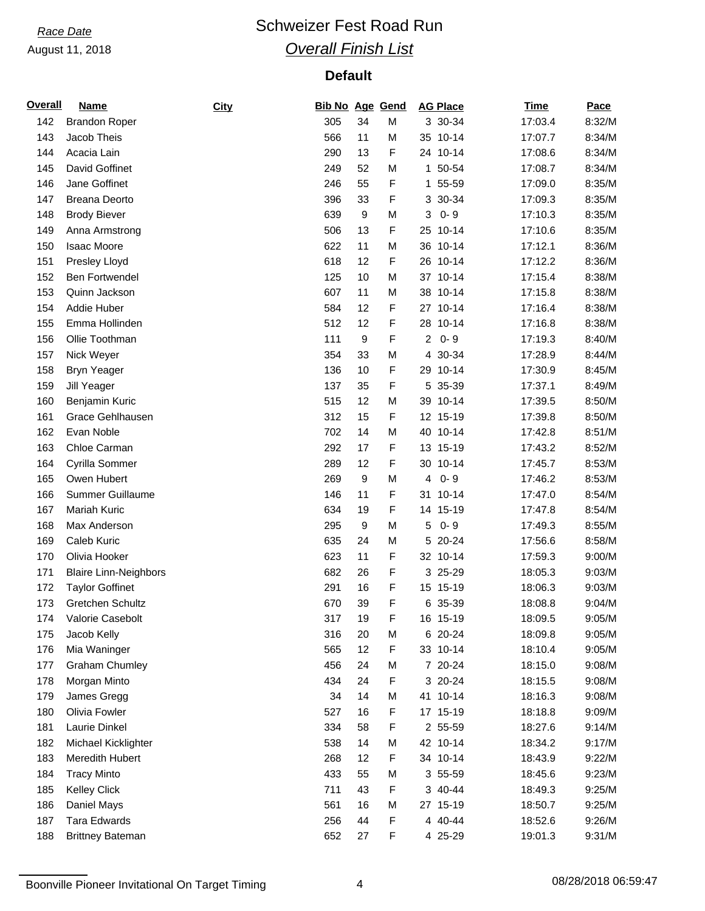## *Race Date* **Conservery Schweizer Fest Road Run** *Overall Finish List*

| <b>Overall</b> | <b>Name</b>                  | City | <b>Bib No Age Gend</b> |                  |   | <b>AG Place</b>        | <b>Time</b> | Pace   |
|----------------|------------------------------|------|------------------------|------------------|---|------------------------|-------------|--------|
| 142            | <b>Brandon Roper</b>         |      | 305                    | 34               | M | 3 30-34                | 17:03.4     | 8:32/M |
| 143            | Jacob Theis                  |      | 566                    | 11               | M | 35 10-14               | 17:07.7     | 8:34/M |
| 144            | Acacia Lain                  |      | 290                    | 13               | F | 24 10-14               | 17:08.6     | 8:34/M |
| 145            | David Goffinet               |      | 249                    | 52               | M | 50-54<br>$\mathbf{1}$  | 17:08.7     | 8:34/M |
| 146            | Jane Goffinet                |      | 246                    | 55               | F | 1 55-59                | 17:09.0     | 8:35/M |
| 147            | <b>Breana Deorto</b>         |      | 396                    | 33               | F | 3 30-34                | 17:09.3     | 8:35/M |
| 148            | <b>Brody Biever</b>          |      | 639                    | 9                | M | $0 - 9$<br>3           | 17:10.3     | 8:35/M |
| 149            | Anna Armstrong               |      | 506                    | 13               | F | $10 - 14$<br>25        | 17:10.6     | 8:35/M |
| 150            | <b>Isaac Moore</b>           |      | 622                    | 11               | M | 36 10-14               | 17:12.1     | 8:36/M |
| 151            | Presley Lloyd                |      | 618                    | 12               | F | 26 10-14               | 17:12.2     | 8:36/M |
| 152            | <b>Ben Fortwendel</b>        |      | 125                    | 10               | M | 37 10-14               | 17:15.4     | 8:38/M |
| 153            | Quinn Jackson                |      | 607                    | 11               | M | 38<br>$10 - 14$        | 17:15.8     | 8:38/M |
| 154            | Addie Huber                  |      | 584                    | 12               | F | $10 - 14$<br>27        | 17:16.4     | 8:38/M |
| 155            | Emma Hollinden               |      | 512                    | 12               | F | 28 10-14               | 17:16.8     | 8:38/M |
| 156            | Ollie Toothman               |      | 111                    | $\boldsymbol{9}$ | F | $0 - 9$<br>$2^{\circ}$ | 17:19.3     | 8:40/M |
| 157            | Nick Weyer                   |      | 354                    | 33               | M | 30-34<br>4             | 17:28.9     | 8:44/M |
| 158            | <b>Bryn Yeager</b>           |      | 136                    | 10               | F | 29 10-14               | 17:30.9     | 8:45/M |
| 159            | Jill Yeager                  |      | 137                    | 35               | F | 35-39<br>5             | 17:37.1     | 8:49/M |
| 160            | Benjamin Kuric               |      | 515                    | 12               | M | 39 10-14               | 17:39.5     | 8:50/M |
| 161            | <b>Grace Gehlhausen</b>      |      | 312                    | 15               | F | 12 15-19               | 17:39.8     | 8:50/M |
| 162            | Evan Noble                   |      | 702                    | 14               | M | 40 10-14               | 17:42.8     | 8:51/M |
| 163            | Chloe Carman                 |      | 292                    | 17               | F | 13 15-19               | 17:43.2     | 8:52/M |
| 164            | Cyrilla Sommer               |      | 289                    | 12               | F | 30 10-14               | 17:45.7     | 8:53/M |
| 165            | Owen Hubert                  |      | 269                    | 9                | M | $0 - 9$<br>4           | 17:46.2     | 8:53/M |
| 166            | Summer Guillaume             |      | 146                    | 11               | F | 31<br>$10 - 14$        | 17:47.0     | 8:54/M |
| 167            | Mariah Kuric                 |      | 634                    | 19               | F | 14 15-19               | 17:47.8     | 8:54/M |
|                |                              |      |                        |                  |   | $0 - 9$                |             |        |
| 168            | Max Anderson                 |      | 295                    | 9                | M | 5                      | 17:49.3     | 8:55/M |
| 169            | Caleb Kuric                  |      | 635                    | 24               | M | 5<br>$20 - 24$         | 17:56.6     | 8:58/M |
| 170            | Olivia Hooker                |      | 623                    | 11               | F | 32 10-14               | 17:59.3     | 9:00/M |
| 171            | <b>Blaire Linn-Neighbors</b> |      | 682                    | 26               | F | 3 25-29                | 18:05.3     | 9:03/M |
| 172            | <b>Taylor Goffinet</b>       |      | 291                    | 16               | F | 15 15-19               | 18:06.3     | 9:03/M |
| 173            | Gretchen Schultz             |      | 670                    | 39               | F | 6 35-39                | 18:08.8     | 9:04/M |
| 174            | Valorie Casebolt             |      | 317                    | 19               | F | 16 15-19               | 18:09.5     | 9:05/M |
| 175            | Jacob Kelly                  |      | 316                    | 20               | M | 6 20-24                | 18:09.8     | 9:05/M |
| 176            | Mia Waninger                 |      | 565                    | 12               | F | 33 10-14               | 18:10.4     | 9:05/M |
| 177            | <b>Graham Chumley</b>        |      | 456                    | 24               | M | 7 20-24                | 18:15.0     | 9:08/M |
| 178            | Morgan Minto                 |      | 434                    | 24               | F | 3 20-24                | 18:15.5     | 9:08/M |
| 179            | James Gregg                  |      | 34                     | 14               | M | 41 10-14               | 18:16.3     | 9:08/M |
| 180            | Olivia Fowler                |      | 527                    | 16               | F | 17 15-19               | 18:18.8     | 9:09/M |
| 181            | Laurie Dinkel                |      | 334                    | 58               | F | 2 55-59                | 18:27.6     | 9:14/M |
| 182            | Michael Kicklighter          |      | 538                    | 14               | M | 42 10-14               | 18:34.2     | 9:17/M |
| 183            | Meredith Hubert              |      | 268                    | 12               | F | 34 10-14               | 18:43.9     | 9:22/M |
| 184            | <b>Tracy Minto</b>           |      | 433                    | 55               | M | 3 55-59                | 18:45.6     | 9:23/M |
| 185            | Kelley Click                 |      | 711                    | 43               | F | 3 40-44                | 18:49.3     | 9:25/M |
| 186            | Daniel Mays                  |      | 561                    | 16               | M | 27 15-19               | 18:50.7     | 9:25/M |
| 187            | <b>Tara Edwards</b>          |      | 256                    | 44               | F | 4 40-44                | 18:52.6     | 9:26/M |
| 188            | <b>Brittney Bateman</b>      |      | 652                    | 27               | F | 4 25-29                | 19:01.3     | 9:31/M |

Boonville Pioneer Invitational On Target Timing 4 08/28/2018 06:59:47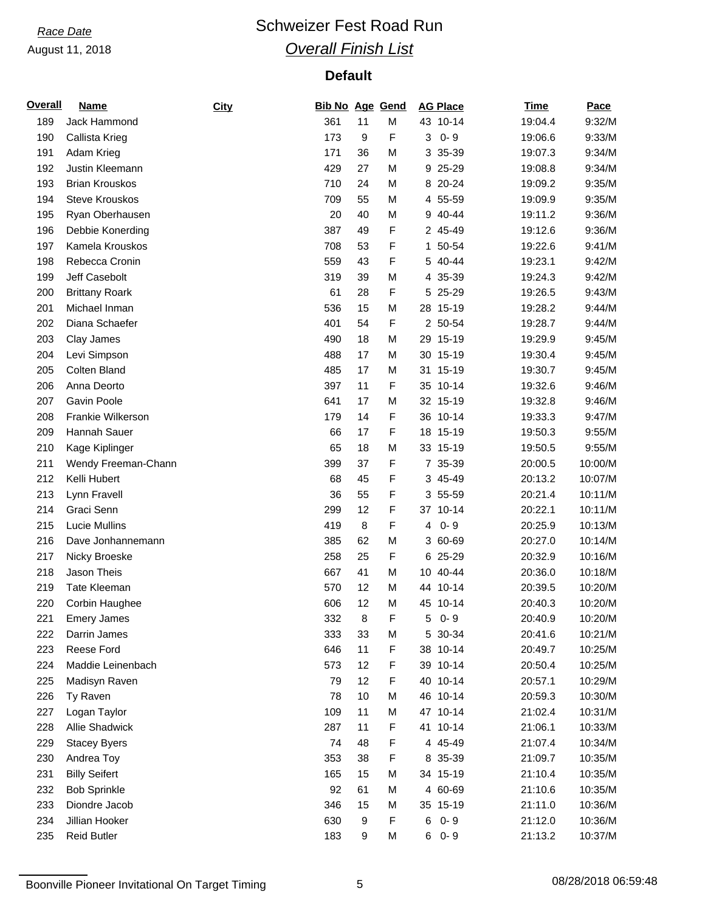## *Race Date* **Conservery Schweizer Fest Road Run** *Overall Finish List*

| <b>Overall</b> | <b>Name</b>           | City | <b>Bib No Age Gend</b> |    |   | <b>AG Place</b> | <b>Time</b> | Pace    |
|----------------|-----------------------|------|------------------------|----|---|-----------------|-------------|---------|
| 189            | Jack Hammond          |      | 361                    | 11 | M | 43 10-14        | 19:04.4     | 9:32/M  |
| 190            | Callista Krieg        |      | 173                    | 9  | F | $0 - 9$<br>3    | 19:06.6     | 9:33/M  |
| 191            | Adam Krieg            |      | 171                    | 36 | M | 3 35-39         | 19:07.3     | 9:34/M  |
| 192            | Justin Kleemann       |      | 429                    | 27 | M | 25-29<br>9      | 19:08.8     | 9:34/M  |
| 193            | <b>Brian Krouskos</b> |      | 710                    | 24 | M | 8 20-24         | 19:09.2     | 9:35/M  |
| 194            | <b>Steve Krouskos</b> |      | 709                    | 55 | M | 4 55-59         | 19:09.9     | 9:35/M  |
| 195            | Ryan Oberhausen       |      | 20                     | 40 | M | 9 40-44         | 19:11.2     | 9:36/M  |
| 196            | Debbie Konerding      |      | 387                    | 49 | F | 2 45-49         | 19:12.6     | 9:36/M  |
| 197            | Kamela Krouskos       |      | 708                    | 53 | F | 50-54<br>1      | 19:22.6     | 9:41/M  |
| 198            | Rebecca Cronin        |      | 559                    | 43 | F | 5 40-44         | 19:23.1     | 9:42/M  |
| 199            | Jeff Casebolt         |      | 319                    | 39 | M | 4 35-39         | 19:24.3     | 9:42/M  |
| 200            | <b>Brittany Roark</b> |      | 61                     | 28 | F | 25-29<br>5      | 19:26.5     | 9:43/M  |
| 201            | Michael Inman         |      | 536                    | 15 | M | 28 15-19        | 19:28.2     | 9:44/M  |
| 202            | Diana Schaefer        |      | 401                    | 54 | F | 2 50-54         | 19:28.7     | 9:44/M  |
| 203            | Clay James            |      | 490                    | 18 | M | 29 15-19        | 19:29.9     | 9:45/M  |
| 204            | Levi Simpson          |      | 488                    | 17 | M | 15-19<br>30     | 19:30.4     | 9:45/M  |
| 205            | Colten Bland          |      | 485                    | 17 | M | 31<br>$15-19$   | 19:30.7     | 9:45/M  |
| 206            | Anna Deorto           |      | 397                    | 11 | F | 35 10-14        | 19:32.6     | 9:46/M  |
| 207            | Gavin Poole           |      | 641                    | 17 | M | 32 15-19        | 19:32.8     | 9:46/M  |
| 208            | Frankie Wilkerson     |      | 179                    | 14 | F | 36 10-14        | 19:33.3     | 9:47/M  |
| 209            | Hannah Sauer          |      | 66                     | 17 | F | 18 15-19        | 19:50.3     | 9:55/M  |
| 210            | Kage Kiplinger        |      | 65                     | 18 | M | 33 15-19        | 19:50.5     | 9:55/M  |
| 211            | Wendy Freeman-Chann   |      | 399                    | 37 | F | 7 35-39         | 20:00.5     | 10:00/M |
| 212            | Kelli Hubert          |      | 68                     | 45 | F | 3 45-49         | 20:13.2     | 10:07/M |
| 213            | Lynn Fravell          |      | 36                     | 55 | F | 3 55-59         | 20:21.4     | 10:11/M |
| 214            | Graci Senn            |      | 299                    | 12 | F | 37 10-14        | 20:22.1     | 10:11/M |
| 215            | Lucie Mullins         |      | 419                    | 8  | F | $0 - 9$<br>4    | 20:25.9     | 10:13/M |
| 216            | Dave Jonhannemann     |      | 385                    | 62 | M | 3 60-69         | 20:27.0     | 10:14/M |
| 217            | Nicky Broeske         |      | 258                    | 25 | F | 6 25-29         | 20:32.9     | 10:16/M |
| 218            | Jason Theis           |      | 667                    | 41 | M | 10 40-44        | 20:36.0     | 10:18/M |
| 219            | <b>Tate Kleeman</b>   |      | 570                    | 12 | M | 44 10-14        | 20:39.5     | 10:20/M |
| 220            | Corbin Haughee        |      | 606                    | 12 | M | 45 10-14        | 20:40.3     | 10:20/M |
| 221            | <b>Emery James</b>    |      | 332                    | 8  | F | $50 - 9$        | 20:40.9     | 10:20/M |
| 222            | Darrin James          |      | 333                    | 33 | M | 5 30-34         | 20:41.6     | 10:21/M |
| 223            | Reese Ford            |      | 646                    | 11 | F | 38 10-14        | 20:49.7     | 10:25/M |
| 224            | Maddie Leinenbach     |      | 573                    | 12 | F | 39 10-14        | 20:50.4     | 10:25/M |
| 225            | Madisyn Raven         |      | 79                     | 12 | F | 40 10-14        | 20:57.1     | 10:29/M |
| 226            | Ty Raven              |      | 78                     | 10 | M | 46 10-14        | 20:59.3     | 10:30/M |
| 227            | Logan Taylor          |      | 109                    | 11 | M | 47 10-14        | 21:02.4     | 10:31/M |
| 228            | Allie Shadwick        |      | 287                    | 11 | F | 41 10-14        | 21:06.1     | 10:33/M |
| 229            | <b>Stacey Byers</b>   |      | 74                     | 48 | F | 4 45-49         | 21:07.4     | 10:34/M |
| 230            | Andrea Toy            |      | 353                    | 38 | F | 8 35-39         | 21:09.7     | 10:35/M |
| 231            | <b>Billy Seifert</b>  |      | 165                    | 15 | M | 34 15-19        | 21:10.4     | 10:35/M |
| 232            | <b>Bob Sprinkle</b>   |      | 92                     | 61 | M | 4 60-69         | 21:10.6     | 10:35/M |
| 233            | Diondre Jacob         |      | 346                    | 15 | M | 35 15-19        | 21:11.0     | 10:36/M |
| 234            | Jillian Hooker        |      | 630                    | 9  | F | $0 - 9$<br>6    | 21:12.0     | 10:36/M |
| 235            | <b>Reid Butler</b>    |      | 183                    | 9  | M | $60 - 9$        | 21:13.2     | 10:37/M |

Boonville Pioneer Invitational On Target Timing 5 5 08/28/2018 06:59:48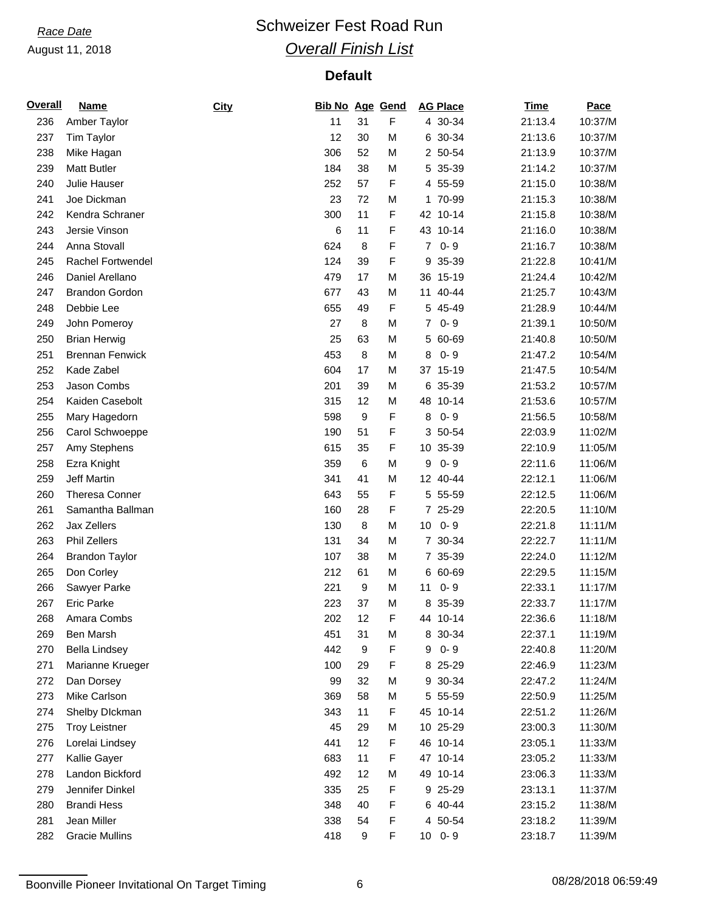## *Race Date* **Conservery Schweizer Fest Road Run** *Overall Finish List*

| <b>Overall</b> | <u>Name</u>            | City | <b>Bib No Age Gend</b> |        |   | <b>AG Place</b>            | <b>Time</b> | Pace    |
|----------------|------------------------|------|------------------------|--------|---|----------------------------|-------------|---------|
| 236            | Amber Taylor           |      | 11                     | 31     | F | 4 30-34                    | 21:13.4     | 10:37/M |
| 237            | Tim Taylor             |      | 12                     | 30     | M | 6 30-34                    | 21:13.6     | 10:37/M |
| 238            | Mike Hagan             |      | 306                    | 52     | M | 2 50-54                    | 21:13.9     | 10:37/M |
| 239            | <b>Matt Butler</b>     |      | 184                    | 38     | M | 35-39<br>5                 | 21:14.2     | 10:37/M |
| 240            | Julie Hauser           |      | 252                    | 57     | F | 4 55-59                    | 21:15.0     | 10:38/M |
| 241            | Joe Dickman            |      | 23                     | 72     | М | 1 70-99                    | 21:15.3     | 10:38/M |
| 242            | Kendra Schraner        |      | 300                    | 11     | F | 42 10-14                   | 21:15.8     | 10:38/M |
| 243            | Jersie Vinson          |      | 6                      | 11     | F | 43 10-14                   | 21:16.0     | 10:38/M |
| 244            | Anna Stovall           |      | 624                    | 8      | F | $0 - 9$<br>$\overline{7}$  | 21:16.7     | 10:38/M |
| 245            | Rachel Fortwendel      |      | 124                    | 39     | F | 35-39<br>9                 | 21:22.8     | 10:41/M |
| 246            | Daniel Arellano        |      | 479                    | 17     | M | 36 15-19                   | 21:24.4     | 10:42/M |
| 247            | <b>Brandon Gordon</b>  |      | 677                    | 43     | M | 40-44<br>11                | 21:25.7     | 10:43/M |
| 248            | Debbie Lee             |      | 655                    | 49     | F | 5 45-49                    | 21:28.9     | 10:44/M |
| 249            | John Pomeroy           |      | 27                     | 8      | M | $0 - 9$<br>$\overline{7}$  | 21:39.1     | 10:50/M |
| 250            | <b>Brian Herwig</b>    |      | 25                     | 63     | M | 60-69<br>5                 | 21:40.8     | 10:50/M |
| 251            | <b>Brennan Fenwick</b> |      | 453                    | $\, 8$ | M | $0 - 9$<br>8               | 21:47.2     | 10:54/M |
| 252            | Kade Zabel             |      | 604                    | 17     | M | 37 15-19                   | 21:47.5     | 10:54/M |
| 253            | Jason Combs            |      | 201                    | 39     | M | 6 35-39                    | 21:53.2     | 10:57/M |
| 254            | Kaiden Casebolt        |      | 315                    | 12     | M | 48 10-14                   | 21:53.6     | 10:57/M |
| 255            | Mary Hagedorn          |      | 598                    | 9      | F | 8<br>$0 - 9$               | 21:56.5     | 10:58/M |
| 256            | Carol Schwoeppe        |      | 190                    | 51     | F | 3 50-54                    | 22:03.9     | 11:02/M |
| 257            | Amy Stephens           |      | 615                    | 35     | F | 10 35-39                   | 22:10.9     | 11:05/M |
| 258            | Ezra Knight            |      | 359                    | 6      | M | $0 - 9$<br>9               | 22:11.6     | 11:06/M |
| 259            | <b>Jeff Martin</b>     |      | 341                    | 41     | M | 12 40-44                   | 22:12.1     | 11:06/M |
| 260            | <b>Theresa Conner</b>  |      | 643                    | 55     | F | 5 55-59                    | 22:12.5     | 11:06/M |
| 261            | Samantha Ballman       |      | 160                    | 28     | F | 7 25-29                    | 22:20.5     | 11:10/M |
| 262            | Jax Zellers            |      | 130                    | 8      | M | $0 - 9$<br>10 <sup>1</sup> | 22:21.8     | 11:11/M |
| 263            | Phil Zellers           |      | 131                    | 34     | M | 7 30-34                    | 22:22.7     | 11:11/M |
| 264            | <b>Brandon Taylor</b>  |      | 107                    | 38     | M | 7 35-39                    | 22:24.0     | 11:12/M |
| 265            | Don Corley             |      | 212                    | 61     | M | 6 60-69                    | 22:29.5     | 11:15/M |
| 266            | Sawyer Parke           |      | 221                    | 9      | M | $0 - 9$<br>11              | 22:33.1     | 11:17/M |
| 267            | <b>Eric Parke</b>      |      | 223                    | 37     | M | 8 35-39                    | 22:33.7     | 11:17/M |
| 268            | Amara Combs            |      | 202                    | 12     | F | 44 10-14                   | 22:36.6     | 11:18/M |
| 269            | Ben Marsh              |      | 451                    | 31     | M | 8 30-34                    | 22:37.1     | 11:19/M |
| 270            | <b>Bella Lindsey</b>   |      | 442                    | 9      | F | $0 - 9$<br>9               | 22:40.8     | 11:20/M |
| 271            | Marianne Krueger       |      | 100                    | 29     | F | 8 25-29                    | 22:46.9     | 11:23/M |
| 272            | Dan Dorsey             |      | 99                     | 32     | M | 9 30-34                    | 22:47.2     | 11:24/M |
| 273            | Mike Carlson           |      | 369                    | 58     | М | 5 55-59                    | 22:50.9     | 11:25/M |
| 274            | Shelby Dlckman         |      | 343                    | 11     | F | 45 10-14                   | 22:51.2     | 11:26/M |
| 275            | <b>Troy Leistner</b>   |      | 45                     | 29     | М | 10 25-29                   | 23:00.3     | 11:30/M |
| 276            | Lorelai Lindsey        |      | 441                    | 12     | F | 46 10-14                   | 23:05.1     | 11:33/M |
| 277            | Kallie Gayer           |      | 683                    | 11     | F | 47 10-14                   | 23:05.2     | 11:33/M |
| 278            | Landon Bickford        |      | 492                    | 12     | M | 49 10-14                   | 23:06.3     | 11:33/M |
| 279            | Jennifer Dinkel        |      | 335                    | 25     | F | 9 25-29                    | 23:13.1     | 11:37/M |
| 280            | <b>Brandi Hess</b>     |      | 348                    | 40     | F | 6 40-44                    | 23:15.2     | 11:38/M |
| 281            | Jean Miller            |      | 338                    | 54     | F | 4 50-54                    | 23:18.2     | 11:39/M |
| 282            | <b>Gracie Mullins</b>  |      | 418                    | 9      | F | $10$ 0-9                   | 23:18.7     | 11:39/M |

Boonville Pioneer Invitational On Target Timing 6 08/28/2018 06:59:49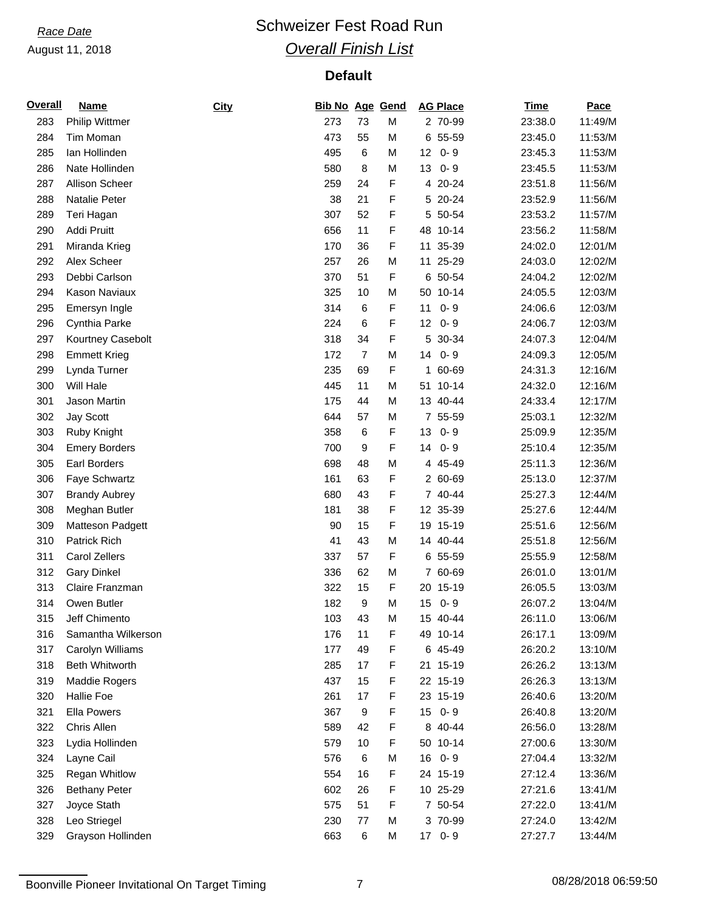## *Race Date* **Conservery Schweizer Fest Road Run** *Overall Finish List*

| <b>Overall</b> | <u>Name</u>           | City | Bib No Age Gend |                |   | <b>AG Place</b>            | <b>Time</b> | Pace    |
|----------------|-----------------------|------|-----------------|----------------|---|----------------------------|-------------|---------|
| 283            | <b>Philip Wittmer</b> |      | 273             | 73             | M | 2 70-99                    | 23:38.0     | 11:49/M |
| 284            | Tim Moman             |      | 473             | 55             | M | 6 55-59                    | 23:45.0     | 11:53/M |
| 285            | Ian Hollinden         |      | 495             | $\,6$          | M | 12 <sub>2</sub><br>$0 - 9$ | 23:45.3     | 11:53/M |
| 286            | Nate Hollinden        |      | 580             | 8              | M | $0 - 9$<br>13              | 23:45.5     | 11:53/M |
| 287            | Allison Scheer        |      | 259             | 24             | F | 4 20-24                    | 23:51.8     | 11:56/M |
| 288            | Natalie Peter         |      | 38              | 21             | F | 5 20-24                    | 23:52.9     | 11:56/M |
| 289            | Teri Hagan            |      | 307             | 52             | F | 5 50-54                    | 23:53.2     | 11:57/M |
| 290            | Addi Pruitt           |      | 656             | 11             | F | 48<br>$10 - 14$            | 23:56.2     | 11:58/M |
| 291            | Miranda Krieg         |      | 170             | 36             | F | 11<br>35-39                | 24:02.0     | 12:01/M |
| 292            | Alex Scheer           |      | 257             | 26             | M | 11 25-29                   | 24:03.0     | 12:02/M |
| 293            | Debbi Carlson         |      | 370             | 51             | F | 6 50-54                    | 24:04.2     | 12:02/M |
| 294            | Kason Naviaux         |      | 325             | 10             | M | 50<br>$10 - 14$            | 24:05.5     | 12:03/M |
| 295            | Emersyn Ingle         |      | 314             | 6              | F | 11<br>$0 - 9$              | 24:06.6     | 12:03/M |
| 296            | Cynthia Parke         |      | 224             | 6              | F | $0 - 9$<br>12              | 24:06.7     | 12:03/M |
| 297            | Kourtney Casebolt     |      | 318             | 34             | F | 5 30-34                    | 24:07.3     | 12:04/M |
| 298            | <b>Emmett Krieg</b>   |      | 172             | $\overline{7}$ | M | $0 - 9$<br>14              | 24:09.3     | 12:05/M |
| 299            | Lynda Turner          |      | 235             | 69             | F | 1 60-69                    | 24:31.3     | 12:16/M |
| 300            | Will Hale             |      | 445             | 11             | M | 51 10-14                   | 24:32.0     | 12:16/M |
| 301            | Jason Martin          |      | 175             | 44             | M | 13 40-44                   | 24:33.4     | 12:17/M |
| 302            | <b>Jay Scott</b>      |      | 644             | 57             | M | 7 55-59                    | 25:03.1     | 12:32/M |
| 303            | Ruby Knight           |      | 358             | 6              | F | 13<br>$0 - 9$              | 25:09.9     | 12:35/M |
| 304            | <b>Emery Borders</b>  |      | 700             | 9              | F | 14<br>$0 - 9$              | 25:10.4     | 12:35/M |
| 305            | Earl Borders          |      | 698             | 48             | M | 4 45-49                    | 25:11.3     | 12:36/M |
| 306            | Faye Schwartz         |      | 161             | 63             | F | 2 60-69                    | 25:13.0     | 12:37/M |
| 307            | <b>Brandy Aubrey</b>  |      | 680             | 43             | F | 7 40-44                    | 25:27.3     | 12:44/M |
| 308            | Meghan Butler         |      | 181             | 38             | F | 12 35-39                   | 25:27.6     | 12:44/M |
| 309            | Matteson Padgett      |      | 90              | 15             | F | 19 15-19                   | 25:51.6     | 12:56/M |
| 310            | Patrick Rich          |      | 41              | 43             | M | 14 40-44                   | 25:51.8     | 12:56/M |
| 311            | Carol Zellers         |      | 337             | 57             | F | 6 55-59                    | 25:55.9     | 12:58/M |
| 312            | <b>Gary Dinkel</b>    |      | 336             | 62             | M | 7 60-69                    | 26:01.0     | 13:01/M |
| 313            | Claire Franzman       |      | 322             | 15             | F | 20 15-19                   | 26:05.5     | 13:03/M |
| 314            | Owen Butler           |      | 182             | 9              | M | 15<br>$0 - 9$              | 26:07.2     | 13:04/M |
| 315            | Jeff Chimento         |      | 103             | 43             | M | 15 40-44                   | 26:11.0     | 13:06/M |
| 316            | Samantha Wilkerson    |      | 176             | 11             | F | 49 10-14                   | 26:17.1     | 13:09/M |
| 317            | Carolyn Williams      |      | 177             | 49             | F | 6 45-49                    | 26:20.2     | 13:10/M |
| 318            | <b>Beth Whitworth</b> |      | 285             | 17             | F | 21 15-19                   | 26:26.2     | 13:13/M |
| 319            | Maddie Rogers         |      | 437             | 15             | F | 22 15-19                   | 26:26.3     | 13:13/M |
| 320            | <b>Hallie Foe</b>     |      | 261             | 17             | F | 23 15-19                   | 26:40.6     | 13:20/M |
| 321            | Ella Powers           |      | 367             | $9\,$          | F | $0 - 9$<br>15 <sub>1</sub> | 26:40.8     | 13:20/M |
| 322            | Chris Allen           |      | 589             | 42             | F | 8 40-44                    | 26:56.0     | 13:28/M |
| 323            | Lydia Hollinden       |      | 579             | 10             | F | 50 10-14                   | 27:00.6     | 13:30/M |
| 324            | Layne Cail            |      | 576             | 6              | M | 16<br>$0 - 9$              | 27:04.4     | 13:32/M |
| 325            | Regan Whitlow         |      | 554             | 16             | F | 24 15-19                   | 27:12.4     | 13:36/M |
| 326            | <b>Bethany Peter</b>  |      | 602             | 26             | F | 10 25-29                   | 27:21.6     | 13:41/M |
| 327            | Joyce Stath           |      | 575             | 51             | F | 7 50-54                    | 27:22.0     | 13:41/M |
| 328            | Leo Striegel          |      | 230             | 77             | M | 3 70-99                    | 27:24.0     | 13:42/M |
| 329            | Grayson Hollinden     |      | 663             | $\,6$          | M | 17 0-9                     | 27:27.7     | 13:44/M |
|                |                       |      |                 |                |   |                            |             |         |

Boonville Pioneer Invitational On Target Timing 7 7 08/28/2018 06:59:50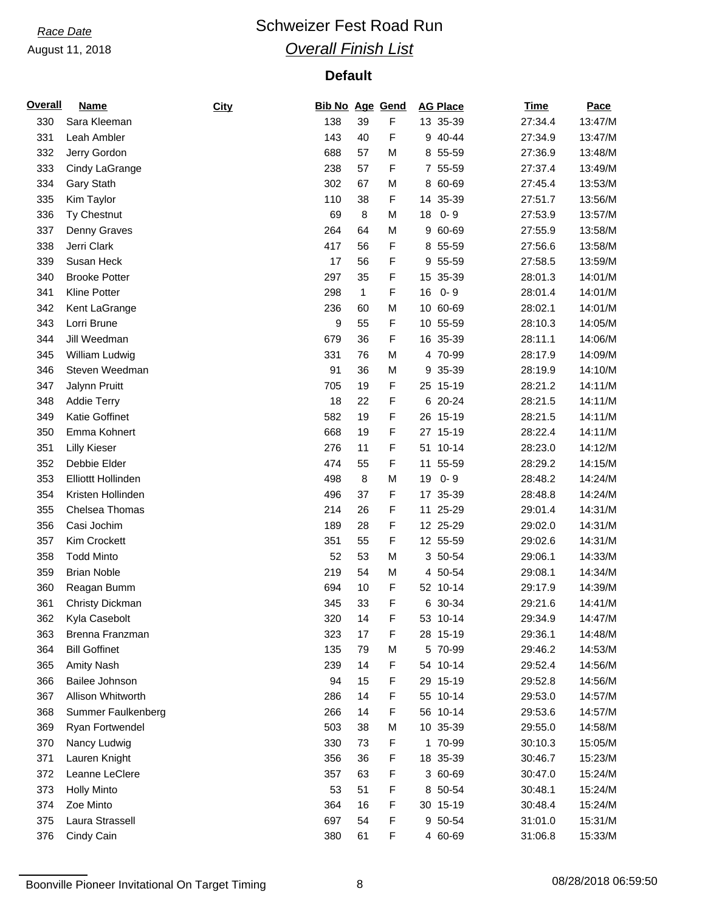## *Race Date* **Conservery Schweizer Fest Road Run** *Overall Finish List*

| <b>Overall</b> | <b>Name</b>          | City | <b>Bib No Age Gend</b> |              |   | <b>AG Place</b> | <b>Time</b> | Pace    |
|----------------|----------------------|------|------------------------|--------------|---|-----------------|-------------|---------|
| 330            | Sara Kleeman         |      | 138                    | 39           | F | 13 35-39        | 27:34.4     | 13:47/M |
| 331            | Leah Ambler          |      | 143                    | 40           | F | 9 40-44         | 27:34.9     | 13:47/M |
| 332            | Jerry Gordon         |      | 688                    | 57           | M | 8 55-59         | 27:36.9     | 13:48/M |
| 333            | Cindy LaGrange       |      | 238                    | 57           | F | 7 55-59         | 27:37.4     | 13:49/M |
| 334            | <b>Gary Stath</b>    |      | 302                    | 67           | M | 8 60-69         | 27:45.4     | 13:53/M |
| 335            | Kim Taylor           |      | 110                    | 38           | F | 14 35-39        | 27:51.7     | 13:56/M |
| 336            | Ty Chestnut          |      | 69                     | 8            | M | $0 - 9$<br>18   | 27:53.9     | 13:57/M |
| 337            | Denny Graves         |      | 264                    | 64           | M | 9<br>60-69      | 27:55.9     | 13:58/M |
| 338            | Jerri Clark          |      | 417                    | 56           | F | 8 55-59         | 27:56.6     | 13:58/M |
| 339            | Susan Heck           |      | 17                     | 56           | F | 9 55-59         | 27:58.5     | 13:59/M |
| 340            | <b>Brooke Potter</b> |      | 297                    | 35           | F | 15 35-39        | 28:01.3     | 14:01/M |
| 341            | <b>Kline Potter</b>  |      | 298                    | $\mathbf{1}$ | F | 16<br>$0 - 9$   | 28:01.4     | 14:01/M |
| 342            | Kent LaGrange        |      | 236                    | 60           | M | 10 60-69        | 28:02.1     | 14:01/M |
| 343            | Lorri Brune          |      | 9                      | 55           | F | 10 55-59        | 28:10.3     | 14:05/M |
| 344            | Jill Weedman         |      | 679                    | 36           | F | 16 35-39        | 28:11.1     | 14:06/M |
| 345            | William Ludwig       |      | 331                    | 76           | M | 4 70-99         | 28:17.9     | 14:09/M |
| 346            | Steven Weedman       |      | 91                     | 36           | M | 9 35-39         | 28:19.9     | 14:10/M |
| 347            | Jalynn Pruitt        |      | 705                    | 19           | F | 25 15-19        | 28:21.2     | 14:11/M |
| 348            | <b>Addie Terry</b>   |      | 18                     | 22           | F | 6 20-24         | 28:21.5     | 14:11/M |
| 349            | Katie Goffinet       |      | 582                    | 19           | F | 26 15-19        | 28:21.5     | 14:11/M |
| 350            | Emma Kohnert         |      | 668                    | 19           | F | 27 15-19        | 28:22.4     | 14:11/M |
| 351            | <b>Lilly Kieser</b>  |      | 276                    | 11           | F | 51 10-14        | 28:23.0     | 14:12/M |
| 352            | Debbie Elder         |      | 474                    | 55           | F | 55-59<br>11     | 28:29.2     | 14:15/M |
| 353            | Elliottt Hollinden   |      | 498                    | 8            | M | $0 - 9$<br>19   | 28:48.2     | 14:24/M |
| 354            | Kristen Hollinden    |      | 496                    | 37           | F | 17 35-39        | 28:48.8     | 14:24/M |
|                | Chelsea Thomas       |      |                        |              |   |                 |             |         |
| 355            |                      |      | 214                    | 26           | F | 11 25-29        | 29:01.4     | 14:31/M |
| 356            | Casi Jochim          |      | 189                    | 28           | F | 12 25-29        | 29:02.0     | 14:31/M |
| 357            | Kim Crockett         |      | 351                    | 55           | F | 12 55-59        | 29:02.6     | 14:31/M |
| 358            | <b>Todd Minto</b>    |      | 52                     | 53           | M | 3 50-54         | 29:06.1     | 14:33/M |
| 359            | <b>Brian Noble</b>   |      | 219                    | 54           | M | 4 50-54         | 29:08.1     | 14:34/M |
| 360            | Reagan Bumm          |      | 694                    | 10           | F | 52 10-14        | 29:17.9     | 14:39/M |
| 361            | Christy Dickman      |      | 345                    | 33           | F | 6 30-34         | 29:21.6     | 14:41/M |
| 362            | Kyla Casebolt        |      | 320                    | 14           | F | 53 10-14        | 29:34.9     | 14:47/M |
| 363            | Brenna Franzman      |      | 323                    | 17           | F | 28 15-19        | 29:36.1     | 14:48/M |
| 364            | <b>Bill Goffinet</b> |      | 135                    | 79           | M | 5 70-99         | 29:46.2     | 14:53/M |
| 365            | <b>Amity Nash</b>    |      | 239                    | 14           | F | 54 10-14        | 29:52.4     | 14:56/M |
| 366            | Bailee Johnson       |      | 94                     | 15           | F | 29 15-19        | 29:52.8     | 14:56/M |
| 367            | Allison Whitworth    |      | 286                    | 14           | F | 55 10-14        | 29:53.0     | 14:57/M |
| 368            | Summer Faulkenberg   |      | 266                    | 14           | F | 56 10-14        | 29:53.6     | 14:57/M |
| 369            | Ryan Fortwendel      |      | 503                    | 38           | M | 10 35-39        | 29:55.0     | 14:58/M |
| 370            | Nancy Ludwig         |      | 330                    | 73           | F | 1 70-99         | 30:10.3     | 15:05/M |
| 371            | Lauren Knight        |      | 356                    | 36           | F | 18 35-39        | 30:46.7     | 15:23/M |
| 372            | Leanne LeClere       |      | 357                    | 63           | F | 3 60-69         | 30:47.0     | 15:24/M |
| 373            | <b>Holly Minto</b>   |      | 53                     | 51           | F | 8 50-54         | 30:48.1     | 15:24/M |
| 374            | Zoe Minto            |      | 364                    | 16           | F | 30 15-19        | 30:48.4     | 15:24/M |
| 375            | Laura Strassell      |      | 697                    | 54           | F | 9 50-54         | 31:01.0     | 15:31/M |
| 376            | Cindy Cain           |      | 380                    | 61           | F | 4 60-69         | 31:06.8     | 15:33/M |

Boonville Pioneer Invitational On Target Timing 8 08/28/2018 06:59:50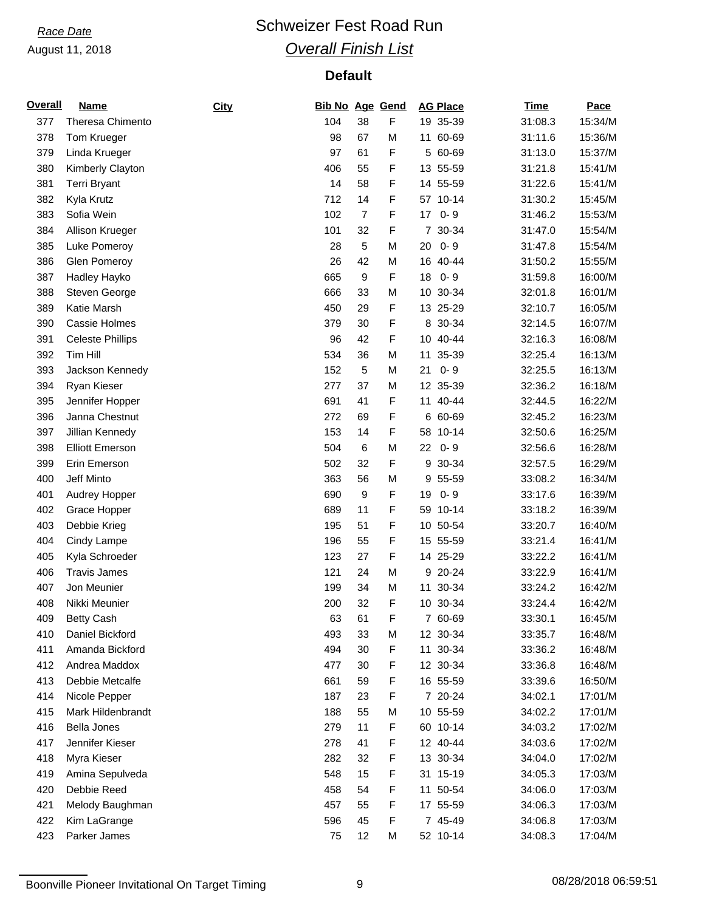## *Race Date* **Conservery Schweizer Fest Road Run** *Overall Finish List*

| <b>Overall</b> | Name                    | City | <b>Bib No Age Gend</b> |                |             | <b>AG Place</b> | <b>Time</b> | Pace    |
|----------------|-------------------------|------|------------------------|----------------|-------------|-----------------|-------------|---------|
| 377            | Theresa Chimento        |      | 104                    | 38             | F           | 19 35-39        | 31:08.3     | 15:34/M |
| 378            | Tom Krueger             |      | 98                     | 67             | М           | 11 60-69        | 31:11.6     | 15:36/M |
| 379            | Linda Krueger           |      | 97                     | 61             | F           | 5 60-69         | 31:13.0     | 15:37/M |
| 380            | Kimberly Clayton        |      | 406                    | 55             | F           | 13 55-59        | 31:21.8     | 15:41/M |
| 381            | <b>Terri Bryant</b>     |      | 14                     | 58             | F           | 14 55-59        | 31:22.6     | 15:41/M |
| 382            | Kyla Krutz              |      | 712                    | 14             | F           | 57 10-14        | 31:30.2     | 15:45/M |
| 383            | Sofia Wein              |      | 102                    | $\overline{7}$ | F           | $0 - 9$<br>17   | 31:46.2     | 15:53/M |
| 384            | Allison Krueger         |      | 101                    | 32             | F           | 7 30-34         | 31:47.0     | 15:54/M |
| 385            | Luke Pomeroy            |      | 28                     | 5              | М           | $0 - 9$<br>20   | 31:47.8     | 15:54/M |
| 386            | <b>Glen Pomeroy</b>     |      | 26                     | 42             | М           | 16 40-44        | 31:50.2     | 15:55/M |
| 387            | Hadley Hayko            |      | 665                    | 9              | F           | $0 - 9$<br>18   | 31:59.8     | 16:00/M |
| 388            | Steven George           |      | 666                    | 33             | М           | 10<br>30-34     | 32:01.8     | 16:01/M |
| 389            | Katie Marsh             |      | 450                    | 29             | F           | 13 25-29        | 32:10.7     | 16:05/M |
| 390            | Cassie Holmes           |      | 379                    | 30             | $\mathsf F$ | 8 30-34         | 32:14.5     | 16:07/M |
| 391            | <b>Celeste Phillips</b> |      | 96                     | 42             | F           | 10 40-44        | 32:16.3     | 16:08/M |
| 392            | Tim Hill                |      | 534                    | 36             | М           | 11<br>35-39     | 32:25.4     | 16:13/M |
| 393            | Jackson Kennedy         |      | 152                    | 5              | М           | $0 - 9$<br>21   | 32:25.5     | 16:13/M |
| 394            | Ryan Kieser             |      | 277                    | 37             | М           | 12 35-39        | 32:36.2     | 16:18/M |
| 395            | Jennifer Hopper         |      | 691                    | 41             | F           | 11 40-44        | 32:44.5     | 16:22/M |
| 396            | Janna Chestnut          |      | 272                    | 69             | F           | 6 60-69         | 32:45.2     | 16:23/M |
| 397            | Jillian Kennedy         |      | 153                    | 14             | F           | 58 10-14        | 32:50.6     | 16:25/M |
| 398            | <b>Elliott Emerson</b>  |      | 504                    | 6              | М           | $0 - 9$<br>22   | 32:56.6     | 16:28/M |
| 399            | Erin Emerson            |      | 502                    | 32             | F           | 9 30-34         | 32:57.5     | 16:29/M |
| 400            | Jeff Minto              |      | 363                    | 56             | М           | 55-59<br>9      | 33:08.2     | 16:34/M |
| 401            | Audrey Hopper           |      | 690                    | 9              | F           | $0 - 9$<br>19   | 33:17.6     | 16:39/M |
| 402            | Grace Hopper            |      | 689                    | 11             | F           | 59 10-14        | 33:18.2     | 16:39/M |
| 403            | Debbie Krieg            |      | 195                    | 51             | F           | 10 50-54        | 33:20.7     | 16:40/M |
| 404            | Cindy Lampe             |      | 196                    | 55             | F           | 15 55-59        | 33:21.4     | 16:41/M |
| 405            | Kyla Schroeder          |      | 123                    | 27             | F           | 14 25-29        | 33:22.2     | 16:41/M |
| 406            | <b>Travis James</b>     |      | 121                    | 24             | М           | 9 20-24         | 33:22.9     | 16:41/M |
| 407            | Jon Meunier             |      | 199                    | 34             | М           | 11 30-34        | 33:24.2     | 16:42/M |
| 408            | Nikki Meunier           |      | 200                    | 32             | $\mathsf F$ | 10 30-34        | 33:24.4     | 16:42/M |
| 409            | <b>Betty Cash</b>       |      | 63                     | 61             | F           | 7 60-69         | 33:30.1     | 16:45/M |
| 410            | Daniel Bickford         |      | 493                    | 33             | М           | 12 30-34        | 33:35.7     | 16:48/M |
| 411            | Amanda Bickford         |      | 494                    | 30             | F           | 11 30-34        | 33:36.2     | 16:48/M |
| 412            | Andrea Maddox           |      | 477                    | 30             | F           | 12 30-34        | 33:36.8     | 16:48/M |
| 413            | Debbie Metcalfe         |      | 661                    | 59             | F           | 16 55-59        | 33:39.6     | 16:50/M |
| 414            | Nicole Pepper           |      | 187                    | 23             | F           | 7 20-24         | 34:02.1     | 17:01/M |
| 415            | Mark Hildenbrandt       |      | 188                    | 55             | М           | 10 55-59        | 34:02.2     | 17:01/M |
| 416            | Bella Jones             |      | 279                    | 11             | F           | 60 10-14        | 34:03.2     | 17:02/M |
| 417            | Jennifer Kieser         |      | 278                    | 41             | F           | 12 40-44        | 34:03.6     | 17:02/M |
| 418            | Myra Kieser             |      | 282                    | 32             | F           | 13 30-34        | 34:04.0     | 17:02/M |
| 419            | Amina Sepulveda         |      | 548                    | 15             | F           | 31 15-19        | 34:05.3     | 17:03/M |
| 420            | Debbie Reed             |      | 458                    | 54             | F           | 11 50-54        | 34:06.0     | 17:03/M |
| 421            | Melody Baughman         |      | 457                    | 55             | F           | 17 55-59        | 34:06.3     | 17:03/M |
| 422            | Kim LaGrange            |      | 596                    | 45             | F           | 7 45-49         | 34:06.8     | 17:03/M |
| 423            | Parker James            |      | 75                     | 12             | М           | 52 10-14        | 34:08.3     | 17:04/M |
|                |                         |      |                        |                |             |                 |             |         |

Boonville Pioneer Invitational On Target Timing 8 08/28/2018 06:59:51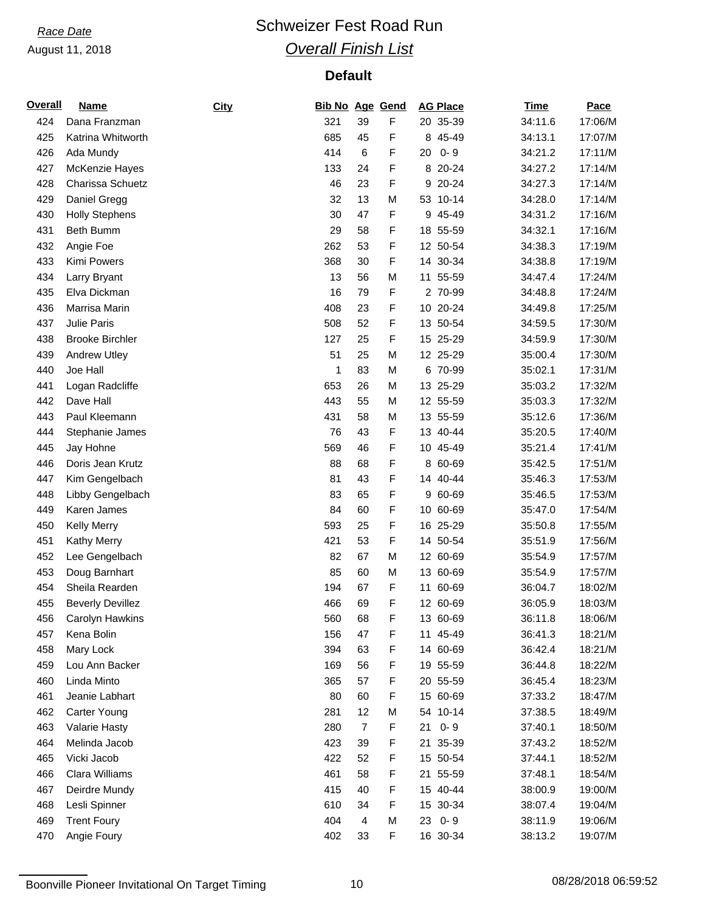## *Race Date* **Conservery Schweizer Fest Road Run** *Overall Finish List*

| <b>Overall</b> | <b>Name</b>             | City | <b>Bib No Age Gend</b> |                |   | <b>AG Place</b> | <b>Time</b> | Pace    |
|----------------|-------------------------|------|------------------------|----------------|---|-----------------|-------------|---------|
| 424            | Dana Franzman           |      | 321                    | 39             | F | 20 35-39        | 34:11.6     | 17:06/M |
| 425            | Katrina Whitworth       |      | 685                    | 45             | F | 8 45-49         | 34:13.1     | 17:07/M |
| 426            | Ada Mundy               |      | 414                    | $\,6\,$        | F | $0 - 9$<br>20   | 34:21.2     | 17:11/M |
| 427            | McKenzie Hayes          |      | 133                    | 24             | F | 8 20-24         | 34:27.2     | 17:14/M |
| 428            | Charissa Schuetz        |      | 46                     | 23             | F | 9 20-24         | 34:27.3     | 17:14/M |
| 429            | Daniel Gregg            |      | 32                     | 13             | M | 53 10-14        | 34:28.0     | 17:14/M |
| 430            | <b>Holly Stephens</b>   |      | 30                     | 47             | F | 9 45-49         | 34:31.2     | 17:16/M |
| 431            | Beth Bumm               |      | 29                     | 58             | F | 18 55-59        | 34:32.1     | 17:16/M |
| 432            | Angie Foe               |      | 262                    | 53             | F | 12 50-54        | 34:38.3     | 17:19/M |
| 433            | Kimi Powers             |      | 368                    | 30             | F | 14 30-34        | 34:38.8     | 17:19/M |
| 434            | Larry Bryant            |      | 13                     | 56             | M | 11 55-59        | 34:47.4     | 17:24/M |
| 435            | Elva Dickman            |      | 16                     | 79             | F | 2 70-99         | 34:48.8     | 17:24/M |
| 436            | Marrisa Marin           |      | 408                    | 23             | F | 10 20-24        | 34:49.8     | 17:25/M |
| 437            | Julie Paris             |      | 508                    | 52             | F | 13 50-54        | 34:59.5     | 17:30/M |
| 438            | <b>Brooke Birchler</b>  |      | 127                    | 25             | F | 15 25-29        | 34:59.9     | 17:30/M |
| 439            | <b>Andrew Utley</b>     |      | 51                     | 25             | M | 12 25-29        | 35:00.4     | 17:30/M |
| 440            | Joe Hall                |      | 1                      | 83             | M | 6 70-99         | 35:02.1     | 17:31/M |
| 441            | Logan Radcliffe         |      | 653                    | 26             | M | 13 25-29        | 35:03.2     | 17:32/M |
| 442            | Dave Hall               |      | 443                    | 55             | M | 12 55-59        | 35:03.3     | 17:32/M |
| 443            | Paul Kleemann           |      | 431                    | 58             | M | 13 55-59        | 35:12.6     | 17:36/M |
| 444            | Stephanie James         |      | 76                     | 43             | F | 13 40-44        | 35:20.5     | 17:40/M |
| 445            | Jay Hohne               |      | 569                    | 46             | F | 10 45-49        | 35:21.4     | 17:41/M |
| 446            | Doris Jean Krutz        |      | 88                     | 68             | F | 8 60-69         | 35:42.5     | 17:51/M |
| 447            | Kim Gengelbach          |      | 81                     | 43             | F | 14 40-44        | 35:46.3     | 17:53/M |
| 448            | Libby Gengelbach        |      | 83                     | 65             | F | 9 60-69         | 35:46.5     | 17:53/M |
| 449            | Karen James             |      | 84                     | 60             | F | 10 60-69        | 35:47.0     | 17:54/M |
| 450            | <b>Kelly Merry</b>      |      | 593                    | 25             | F | 16 25-29        | 35:50.8     | 17:55/M |
| 451            | <b>Kathy Merry</b>      |      | 421                    | 53             | F | 14 50-54        | 35:51.9     | 17:56/M |
| 452            | Lee Gengelbach          |      | 82                     | 67             | M | 12 60-69        | 35:54.9     | 17:57/M |
| 453            | Doug Barnhart           |      | 85                     | 60             | M | 13 60-69        | 35:54.9     | 17:57/M |
| 454            | Sheila Rearden          |      | 194                    | 67             | F | 11 60-69        | 36:04.7     | 18:02/M |
| 455            | <b>Beverly Devillez</b> |      | 466                    | 69             | F | 12 60-69        | 36:05.9     | 18:03/M |
| 456            | Carolyn Hawkins         |      | 560                    | 68             | F | 13 60-69        | 36:11.8     | 18:06/M |
| 457            | Kena Bolin              |      | 156                    | 47             | F | 11 45-49        | 36:41.3     | 18:21/M |
| 458            | Mary Lock               |      | 394                    | 63             | F | 14 60-69        | 36:42.4     | 18:21/M |
| 459            | Lou Ann Backer          |      | 169                    | 56             | F | 19 55-59        | 36:44.8     | 18:22/M |
| 460            | Linda Minto             |      | 365                    | 57             | F | 20 55-59        | 36:45.4     | 18:23/M |
| 461            | Jeanie Labhart          |      | 80                     | 60             | F | 15 60-69        | 37:33.2     | 18:47/M |
| 462            | Carter Young            |      | 281                    | 12             | M | 54 10-14        | 37:38.5     | 18:49/M |
| 463            | Valarie Hasty           |      | 280                    | $\overline{7}$ | F | $0 - 9$<br>21   | 37:40.1     | 18:50/M |
| 464            | Melinda Jacob           |      | 423                    | 39             | F | 21 35-39        | 37:43.2     | 18:52/M |
| 465            | Vicki Jacob             |      | 422                    | 52             | F | 15 50-54        | 37:44.1     | 18:52/M |
| 466            | Clara Williams          |      | 461                    | 58             | F | 21 55-59        | 37:48.1     | 18:54/M |
| 467            | Deirdre Mundy           |      | 415                    | 40             | F | 15 40-44        | 38:00.9     | 19:00/M |
| 468            | Lesli Spinner           |      | 610                    | 34             | F | 15 30-34        | 38:07.4     | 19:04/M |
| 469            | <b>Trent Foury</b>      |      | 404                    | 4              | M | 23 0-9          | 38:11.9     | 19:06/M |
|                |                         |      |                        |                | F |                 |             | 19:07/M |
| 470            | Angie Foury             |      | 402                    | 33             |   | 16 30-34        | 38:13.2     |         |

Boonville Pioneer Invitational On Target Timing 10 10 10 08/28/2018 06:59:52